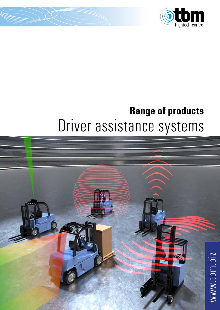



# Driver assistance systems **Range of products**

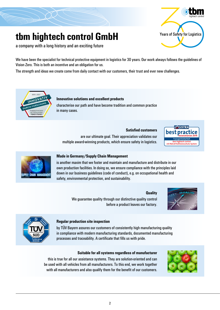### **tbm hightech control GmbH**

a company with a long history and an exciting future

We have been the specialist for technical protective equipment in logistics for 30 years. Our work always follows the guidelines of Vision Zero. This is both an incentive and an obligation for us.

The strength and ideas we create come from daily contact with our customers, their trust and ever new challenges.



#### **Innovative solutions and excellent products**

characterise our path and have become tradition and common practice in many cases.

are our ultimate goal. Their appreciation validates our multiple award-winning products, which ensure safety in logistics.

#### **Satisfied customers**





#### **Made in Germany/Supply Chain Management**

is another maxim that we foster and maintain and manufacture and distribute in our own production facilities. In doing so, we ensure compliance with the principles laid down in our business guidelines (code of conduct), e.g. on occupational health and safety, environmental protection, and sustainability.

#### **Quality**

We guarantee quality through our distinctive quality control before a product leaves our factory.





#### **Regular production site inspection**

by TÜV Bayern assures our customers of consistently high manufacturing quality in compliance with modern manufacturing standards, documented manufacturing processes and traceability. A certificate that fills us with pride.

#### **Suitable for all systems regardless of manufacturer**

this is true for all our assistance systems. They are solution-oriented and can be used with all vehicles from all manufacturers. To this end, we work together with all manufacturers and also qualify them for the benefit of our customers.



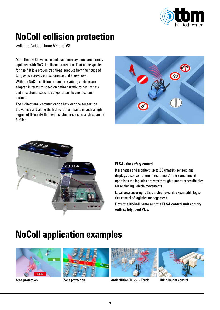

### **NoColl collision protection**

with the NoColl Dome V2 and V3

More than 2000 vehicles and even more systems are already equipped with NoColl collision protection. That alone speaks for itself. It is a proven traditional product from the house of tbm, which proves our experience and know-how.

With the NoColl collision protection system, vehicles are adapted in terms of speed on defined traffic routes (zones) and in customer-specific danger areas. Economical and optimal.

The bidirectional communication between the sensors on the vehicle and along the traffic routes results in such a high degree of flexibility that even customer-specific wishes can be fulfilled.





#### **ELSA - the safety control**

It manages and monitors up to 20 (matrix) sensors and displays a sensor failure in real time. At the same time, it optimises the logistics process through numerous possibilities for analysing vehicle movements.

Local area securing is thus a step towards expandable logistics control of logistics management.

**Both the NoColl dome and the ELSA control unit comply with safety level PL c.**

### **NoColl application examples**



Area protection





Zone protection Anticollision Truck – Truck Lifting height control

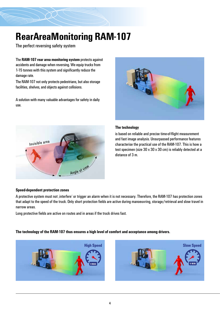### **RearAreaMonitoring RAM-107**

The perfect reversing safety system

The **RAM-107 rear area monitoring system** protects against accidents and damage when reversing. We equip trucks from 1-15 tonnes with this system and significantly reduce the damage rate.

The RAM-107 not only protects pedestrians, but also storage facilities, shelves, and objects against collisions.

A solution with many valuable advantages for safety in daily use.





#### **The technology**

is based on reliable and precise time-of-flight measurement and fast image analysis. Unsurpassed performance features characterise the practical use of the RAM-107. This is how a test specimen (size 30 x 30 x 30 cm) is reliably detected at a distance of 3 m.

#### **Speed-dependent protection zones**

A protective system must not 'interfere' or trigger an alarm when it is not necessary. Therefore, the RAM-107 has protection zones that adapt to the speed of the truck. Only short protection fields are active during manoeuvring, storage/retrieval and slow travel in narrow areas.

Long protective fields are active on routes and in areas if the truck drives fast.

#### **The technology of the RAM-107 thus ensures a high level of comfort and acceptance among drivers.**



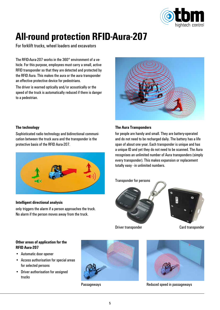

### **All-round protection RFID-Aura-207**

For forklift trucks, wheel loaders and excavators

The RFID-Aura-207 works in the 360° environment of a vehicle. For this purpose, employees must carry a small, active RFID transponder so that they are detected and protected by the RFID Aura. This makes the aura or the aura transponder an effective protective device for pedestrians.

The driver is warned optically and/or acoustically or the speed of the truck is automatically reduced if there is danger to a pedestrian.



#### **The technology**

Sophisticated radio technology and bidirectional communication between the truck aura and the transponder is the protective basis of the RFID Aura-207.



#### **Intelligent directional analysis**

only triggers the alarm if a person approaches the truck. No alarm if the person moves away from the truck.

#### **The Aura Transponders**

for people are handy and small. They are battery-operated and do not need to be recharged daily. The battery has a life span of about one year. Each transponder is unique and has a unique ID and yet they do not need to be scanned. The Aura recognises an unlimited number of Aura transponders (simply every transponder). This makes expansion or replacement totally easy - in unlimited numbers.

Transponder for persons



Driver transponder Card transponder

#### **Other areas of application for the RFID Aura-207**

- Automatic door opener
- Access authorisation for special areas for selected persons
- Driver authorisation for assigned trucks





Passageways **Passageways** Reduced speed in passageways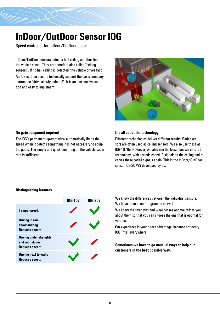### **InDoor/OutDoor Sensor IOG**

Speed controller for InDoor/OutDoor speed

InDoor/OutDoor sensors detect a hall ceiling and thus limit the vehicle speed. They are therefore also called "ceiling sensors". If no hall ceiling is detected, the vehicle drives fast.

An IOG is often used to technically support the basic company instruction "drive slowly indoors!". It is an inexpensive solution and easy to implement.



#### **No gate equipment required**

The IOG's permanent upward view automatically limits the speed when it detects something. It is not necessary to equip the gates. The simple and quick mounting on the vehicle cabin roof is sufficient.

#### **It's all about the technology!**

Different technologies deliver different results. Radar sensors are often used as ceiling sensors. We also use these as IOG-107Ro. However, we also use the lesser-known infrared technology, which sends coded IR signals to the ceiling and receives these coded signals again. This is the InDoor/OutDoor sensor IOG-207V3 developed by us.

#### **Distinguishing features**

|                                                                            | <b>IOG-107</b> | <b>IOG 207</b> |
|----------------------------------------------------------------------------|----------------|----------------|
| Tamper-proof:                                                              |                |                |
| Driving in rain,<br>snow and fog<br><b>Reduces speed:</b>                  |                |                |
| <b>Driving under skylights</b><br>and roof slopes<br><b>Reduces speed:</b> |                |                |
| <b>Driving next to walls</b><br><b>Reduces speed:</b>                      |                |                |

We know the differences between the individual sensors. We have them in our programme as well.

We know the strengths and weaknesses and we talk to you about them so that you can choose the one that is optimal for your use.

Our experience is your direct advantage, because not every IOG "fits" everywhere.

**Sometimes we have to go unusual ways to help our customers in the best possible way.**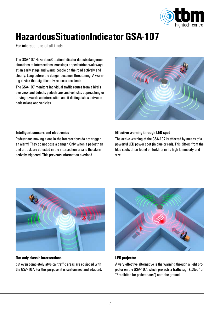

### **HazardousSituationIndicator GSA-107**

For intersections of all kinds

The GSA-107 HazardousSituationIndicator detects dangerous situations at intersections, crossings or pedestrian walkways at an early stage and warns people on the road actively and clearly. Long before the danger becomes threatening. A warning device that significantly reduces accidents.

The GSA-107 monitors individual traffic routes from a bird's eye view and detects pedestrians and vehicles approaching or driving towards an intersection and it distinguishes between pedestrians and vehicles.



#### **Intelligent sensors and electronics**

Pedestrians moving alone in the intersections do not trigger an alarm! They do not pose a danger. Only when a pedestrian and a truck are detected in the intersection area is the alarm actively triggered. This prevents information overload.

#### **Effective warning through LED spot**

The active warning of the GSA-107 is effected by means of a powerful LED power spot (in blue or red). This differs from the blue spots often found on forklifts in its high luminosity and size.



#### **Not only classic intersections**

but even completely atypical traffic areas are equipped with the GSA-107. For this purpose, it is customised and adapted.



#### **LED projector**

A very effective alternative is the warning through a light projector on the GSA-107, which projects a traffic sign ("Stop" or "Prohibited for pedestrians") onto the ground.